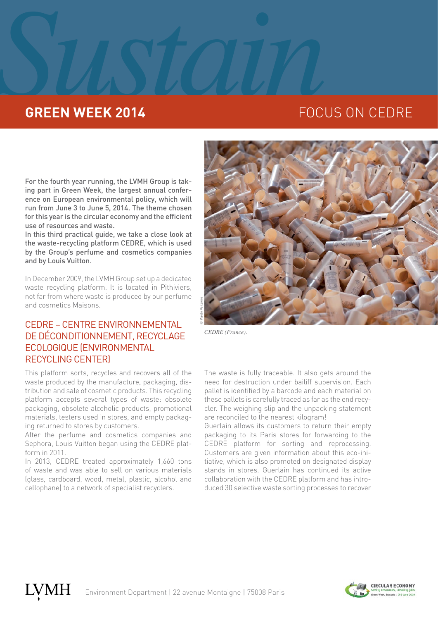# **SUSTAINED SUSTAINED SUSTAINABLE SUSTAINABLE SUSTAINABLE SUSTAINABLE SUSTAINABLE SUSTAINABLE SUSTAINABLE SUSTAINABLE SUSTAINABLE SUSTAINABLE SUSTAINABLE SUSTAINABLE SUSTAINABLE SUSTAINABLE SUSTAINABLE SUSTAINABLE SUSTAINAB GREEN WEEK 2014 EXECUSE ON CEDRE**

For the fourth year running, the LVMH Group is taking part in Green Week, the largest annual conference on European environmental policy, which will run from June 3 to June 5, 2014. The theme chosen for this year is the circular economy and the efficient use of resources and waste.

In this third practical guide, we take a close look at the waste-recycling platform CEDRE, which is used by the Group's perfume and cosmetics companies and by Louis Vuitton.

In December 2009, the LVMH Group set up a dedicated waste recycling platform. It is located in Pithiviers, not far from where waste is produced by our perfume and cosmetics Maisons.

# CEDRE – CENTRE ENVIRONNEMENTAL DE DÉCONDITIONNEMENT, RECYCLAGE ECOLOGIQUE (ENVIRONMENTAL RECYCLING CENTER)

This platform sorts, recycles and recovers all of the waste produced by the manufacture, packaging, distribution and sale of cosmetic products. This recycling platform accepts several types of waste: obsolete packaging, obsolete alcoholic products, promotional materials, testers used in stores, and empty packaging returned to stores by customers.

After the perfume and cosmetics companies and Sephora, Louis Vuitton began using the CEDRE platform in 2011.

In 2013, CEDRE treated approximately 1,660 tons of waste and was able to sell on various materials (glass, cardboard, wood, metal, plastic, alcohol and cellophane) to a network of specialist recyclers.



*CEDRE (France).*

The waste is fully traceable. It also gets around the need for destruction under bailiff supervision. Each pallet is identified by a barcode and each material on these pallets is carefully traced as far as the end recycler. The weighing slip and the unpacking statement are reconciled to the nearest kilogram!

Guerlain allows its customers to return their empty packaging to its Paris stores for forwarding to the CEDRE platform for sorting and reprocessing. Customers are given information about this eco-initiative, which is also promoted on designated display stands in stores. Guerlain has continued its active collaboration with the CEDRE platform and has introduced 30 selective waste sorting processes to recover